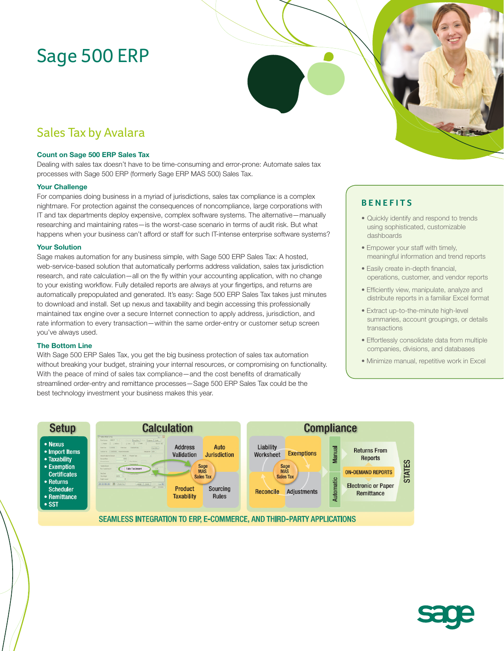# Sage 500 ERP

# Sales Tax by Avalara

### **Count on Sage 500 ERP Sales Tax**

Dealing with sales tax doesn't have to be time-consuming and error-prone: Automate sales tax processes with Sage 500 ERP (formerly Sage ERP MAS 500) Sales Tax.

#### **Your Challenge**

For companies doing business in a myriad of jurisdictions, sales tax compliance is a complex nightmare. For protection against the consequences of noncompliance, large corporations with IT and tax departments deploy expensive, complex software systems. The alternative—manually researching and maintaining rates—is the worst-case scenario in terms of audit risk. But what happens when your business can't afford or staff for such IT-intense enterprise software systems?

#### **Your Solution**

Sage makes automation for any business simple, with Sage 500 ERP Sales Tax: A hosted, web-service-based solution that automatically performs address validation, sales tax jurisdiction research, and rate calculation—all on the fly within your accounting application, with no change to your existing workflow. Fully detailed reports are always at your fingertips, and returns are automatically prepopulated and generated. It's easy: Sage 500 ERP Sales Tax takes just minutes to download and install. Set up nexus and taxability and begin accessing this professionally maintained tax engine over a secure Internet connection to apply address, jurisdiction, and rate information to every transaction—within the same order-entry or customer setup screen you've always used.

#### **The Bottom Line**

With Sage 500 ERP Sales Tax, you get the big business protection of sales tax automation without breaking your budget, straining your internal resources, or compromising on functionality. With the peace of mind of sales tax compliance—and the cost benefits of dramatically streamlined order-entry and remittance processes—Sage 500 ERP Sales Tax could be the best technology investment your business makes this year.

### **BENEFITS**

- Quickly identify and respond to trends using sophisticated, customizable dashboards
- Empower your staff with timely, meaningful information and trend reports
- Easily create in-depth financial, operations, customer, and vendor reports
- Efficiently view, manipulate, analyze and distribute reports in a familiar Excel format
- Extract up-to-the-minute high-level summaries, account groupings, or details transactions
- Effortlessly consolidate data from multiple companies, divisions, and databases
- Minimize manual, repetitive work in Excel



SEAMLESS INTEGRATION TO ERP, E-COMMERCE, AND THIRD-PARTY APPLICATIONS